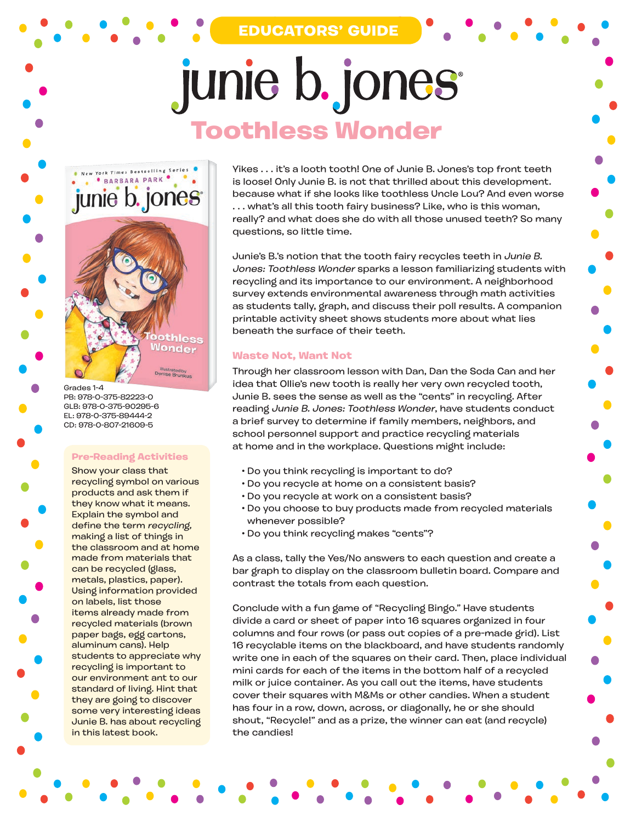**EDUCATORS' GUIDE**

# junie b. jones **Toothless Wonder**



Grades 1-4 PB: 978-0-375-82223-0 GLB: 978-0-375-90295-6 EL: 978-0-375-89444-2 CD: 978-0-807-21609-5

### **Pre-Reading Activities**

Show your class that recycling symbol on various products and ask them if they know what it means. Explain the symbol and define the term recycling, making a list of things in the classroom and at home made from materials that can be recycled (glass, metals, plastics, paper). Using information provided on labels, list those items already made from recycled materials (brown paper bags, egg cartons, aluminum cans). Help students to appreciate why recycling is important to our environment ant to our standard of living. Hint that they are going to discover some very interesting ideas Junie B. has about recycling in this latest book.

Yikes . . . it's a looth tooth! One of Junie B. Jones's top front teeth is loose! Only Junie B. is not that thrilled about this development. because what if she looks like toothless Uncle Lou? And even worse . . . what's all this tooth fairy business? Like, who is this woman, really? and what does she do with all those unused teeth? So many questions, so little time.

Junie's B.'s notion that the tooth fairy recycles teeth in Junie B. Jones: Toothless Wonder sparks a lesson familiarizing students with recycling and its importance to our environment. A neighborhood survey extends environmental awareness through math activities as students tally, graph, and discuss their poll results. A companion printable activity sheet shows students more about what lies beneath the surface of their teeth.

## **Waste Not, Want Not**

Through her classroom lesson with Dan, Dan the Soda Can and her idea that Ollie's new tooth is really her very own recycled tooth, Junie B. sees the sense as well as the "cents" in recycling. After reading Junie B. Jones: Toothless Wonder, have students conduct a brief survey to determine if family members, neighbors, and school personnel support and practice recycling materials at home and in the workplace. Questions might include:

- Do you think recycling is important to do?
- Do you recycle at home on a consistent basis?
- Do you recycle at work on a consistent basis?
- Do you choose to buy products made from recycled materials whenever possible?
- Do you think recycling makes "cents"?

As a class, tally the Yes/No answers to each question and create a bar graph to display on the classroom bulletin board. Compare and contrast the totals from each question.

Conclude with a fun game of "Recycling Bingo." Have students divide a card or sheet of paper into 16 squares organized in four columns and four rows (or pass out copies of a pre-made grid). List 16 recyclable items on the blackboard, and have students randomly write one in each of the squares on their card. Then, place individual mini cards for each of the items in the bottom half of a recycled milk or juice container. As you call out the items, have students cover their squares with M&Ms or other candies. When a student has four in a row, down, across, or diagonally, he or she should shout, "Recycle!" and as a prize, the winner can eat (and recycle) the candies!